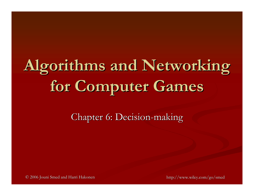# **Algorithms and Networking Algorithms and Networking for Computer Games for Computer Games**

Chapter 6: Decision-making

© 2006 Jouni Smed and Harri Hakonen © 2006 Jouni Smed and Harri Hakonen http://www.wiley.com/go/smed http://www.wiley.com/go/smed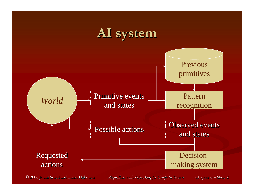

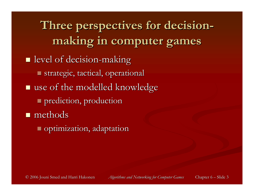Three perspectives for decision**making in computer games making in computer games**  $\blacksquare$  level of decision-making strategic, tactical, operational strategic, tactical, operational  $\blacksquare$  use of the modelled knowledge **prediction, production n** methods  $\blacksquare$  optimization, adaptation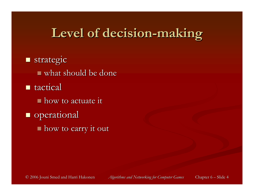### **Level of decision Level of decision-making**

**strategic**  $\blacksquare$  what should be done  $\blacksquare$  tactical  $\blacksquare$  how to actuate it **operational**  $\blacksquare$  how to carry it out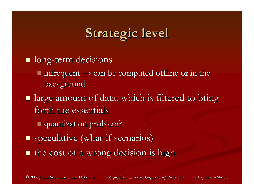## **Strategic level Strategic level**

- **I** long-term decisions
	- $\blacksquare$  infrequent  $\rightarrow$  can be computed offline or in the background
- $\blacksquare$  large amount of data, which is filtered to bring forth the essentials
	- quantization problem? quantization problem?
- **speculative** (what-if scenarios)
- $\blacksquare$  the cost of a wrong decision is high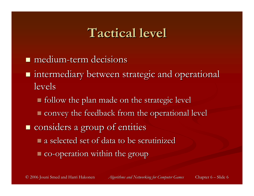#### **Tactical level Tactical level**

- $\blacksquare$  medium-term decisions
- $\blacksquare$  intermediary between strategic and operational levels
	- $\blacksquare$  follow the plan made on the strategic level
	- $\blacksquare$  convey the feedback from the operational level
- $\blacksquare$  considers a group of entities
	- $\blacksquare$  a selected set of data to be scrutinized
	- $\blacksquare$  co-operation within the group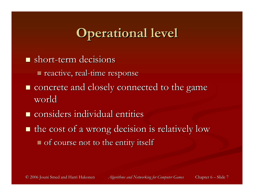## **Operational level Operational level**

- $\blacksquare$  short-term decisions
	- **reactive, real-time response**
- $\blacksquare$  concrete and closely connected to the game world
- $\blacksquare$  considers individual entities
- $\blacksquare$  the cost of a wrong decision is relatively low  $\blacksquare$  of course not to the entity itself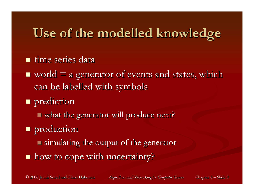### **Use of the modelled knowledge Use of the modelled knowledge**

- **u** time series data
- $\blacksquare$  world  $\equiv$  a generator of events and states, which can be labelled with symbols
- **prediction** 
	- $\blacksquare$  what the generator will produce next?
- **production** 
	- $\blacksquare$  simulating the output of the generator
- how to cope with uncertainty?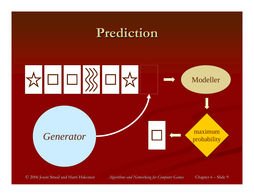#### **Prediction Prediction**

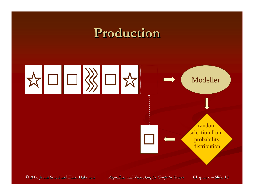#### **Production Production**

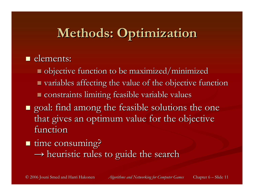## **Methods: Optimization Methods: Optimization**

#### **elements:**

- $\blacksquare$  objective function to be maximized/minimized
- $\blacksquare$  variables affecting the value of the objective function **Constraints limiting feasible variable values**
- $\blacksquare$  goal: find among the feasible solutions the one that gives an optimum value for the objective function

#### ■ time consuming?

 $\rightarrow$  heuristic rules to guide the search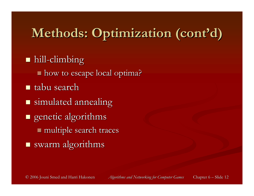## **Methods: Optimization (cont'd) Methods: Optimization (cont'd)**

#### $\blacksquare$  hill-climbing

- $\blacksquare$  how to escape local optima?
- $\blacksquare$  tabu search
- $\blacksquare$  simulated annealing
- $\blacksquare$  genetic algorithms multiple search traces multiple search traces  $\blacksquare$  swarm algorithms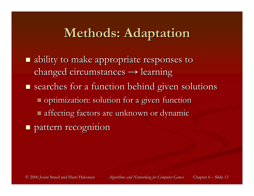#### **Methods: Adaptation Methods: Adaptation**

 ability to make appropriate responses to ability to make appropriate responses to changed circumstances  $\rightarrow$  learning  $\blacksquare$  searches for a function behind given solutions **Optimization: solution for a given function**  affecting factors are unknown or dynamic affecting factors are unknown or dynamic **Pattern recognition**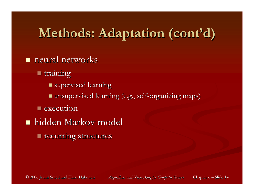## **Methods: Adaptation (cont'd) Methods: Adaptation (cont'd)**

#### $\blacksquare$  neural networks

- **training** 
	- $\blacksquare$  supervised learning
	- $\blacksquare$  unsupervised learning (e.g., self-organizing maps)
- $\blacksquare$  execution
- **hidden Markov model** 
	- $\blacksquare$  recurring structures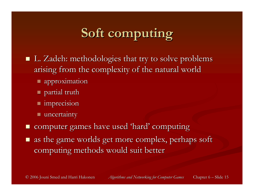## **Soft computing Soft computing**

- L. Zadeh: methodologies that try to solve problems arising from the complexity of the natural world
	- approximation approximation
	- $\blacksquare$  partial truth
	- $\blacksquare$  imprecision
	- $\blacksquare$  uncertainty
- $\Box$ computer games have used 'hard' computing
- as the game worlds get more complex, perhaps soft computing methods would suit better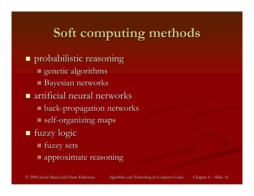## **Soft computing methods Soft computing methods**

**n** probabilistic reasoning  $\blacksquare$  genetic algorithms  $\blacksquare$  Bayesian networks  $\blacksquare$  artificial neural networks  $\blacksquare$  back-propagation networks self-organizing maps fuzzy logic fuzzy logic **fuzzy sets approximate reasoning**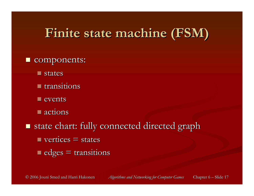### **Finite state machine (FSM) Finite state machine (FSM)**

- $\Box$ components:
	- **u** states
	- transitions
	- $\blacksquare$  events
	- $\blacksquare$  actions
- $\blacksquare$ state chart: fully connected directed graph  $\blacksquare$  vertices  $\equiv$  states  $\blacksquare$  edges  $\equiv$  transitions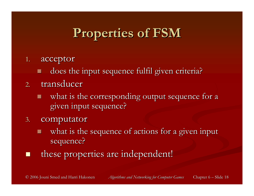## **Properties of FSM Properties of FSM**

- 1. acceptor
	- does the input sequence fulfil given criteria?
- 2. transducer
	- what is the corresponding output sequence for a given input sequence? given input sequence?
- 3. computator
	- what is the sequence of actions for a given input sequence?
- $\Box$ these properties are independent!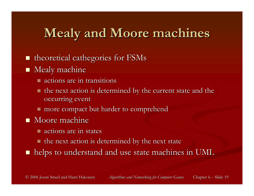## **Mealy and Moore machines Mealy and Moore machines**

- $\blacksquare$ theoretical cathegories for FSMs
- $\blacksquare$  Mealy machine
	- $\blacksquare$  actions are in transitions
	- $\blacksquare$  the next action is determined by the current state and the occurring event
	- $\blacksquare$  more compact but harder to comprehend
- $\blacksquare$  Moore machine
	- $\blacksquare$  actions are in states
	- $\blacksquare$  the next action is determined by the next state
- $\blacksquare$  helps to understand and use state machines in UML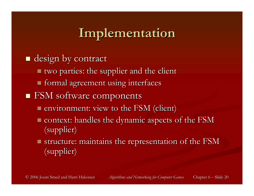### **Implementation Implementation**

- $\blacksquare$  design by contract
	- $\blacksquare$  two parties: the supplier and the client
	- $\blacksquare$  formal agreement using interfaces
- FSM software components FSM software components
	- **Exercise ESM** (client)
	- $\blacksquare$  context: handles the dynamic aspects of the FSM (supplier) (supplier)
	- $\blacksquare$  structure: maintains the representation of the FSM (supplier) (supplier)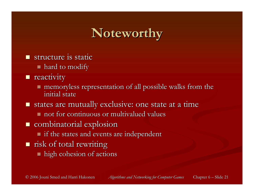## **Noteworthy Noteworthy**

- $\blacksquare$  structure is static
	- $\blacksquare$  hard to modify
- **n** reactivity
	- $\blacksquare$  memoryless representation of all possible walks from the initial state
- $\blacksquare$  states are mutually exclusive: one state at a time
	- $\blacksquare$  not for continuous or multivalued values
- $\blacksquare$  combinatorial explosion
	- $\blacksquare$  if the states and events are independent
- $\blacksquare$  risk of total rewriting
	- $\blacksquare$  high cohesion of actions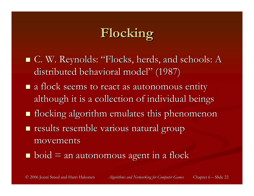## **Flocking Flocking**

- $\blacksquare$  C. W. Reynolds: "Flocks, herds, and schools:  $\boldsymbol{\mathrm{A}}$ distributed behavioral model" (1987)
- $\blacksquare$  a flock seems to react as autonomous entity although it is a collection of individual beings
- $\blacksquare$  flocking algorithm emulates this phenomenon
- **results resemble various natural group** movements movements
- $\blacksquare$  boid  $\equiv$  an autonomous agent in a flock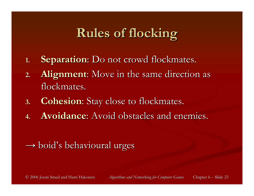## **Rules of flocking Rules of flocking**

- **1.Separation:** Do not crowd flockmates.
- **2.Alignment:** Move in the same direction as flockmates.
- 3. **Cohesion**: Stay close to flockmates.
- **4.Avoidance:** Avoid obstacles and enemies.

#### $\rightarrow$  boid's behavioural urges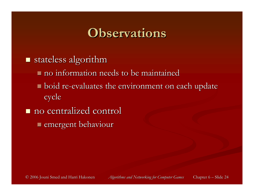#### **Observations Observations**

- $\blacksquare$  stateless algorithm
	- $\blacksquare$  no information needs to be maintained
	- $\blacksquare$  boid re-evaluates the environment on each update cycle
- $\blacksquare$  no centralized control  $\blacksquare$  emergent behaviour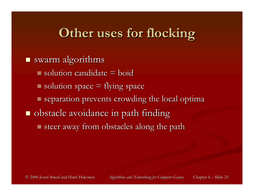### **Other uses for flocking Other uses for flocking**

- $\Box$ swarm algorithms
	- $\blacksquare$  solution candidate  $\equiv$  boid
	- $\blacksquare$  solution space  $\equiv$  flying space
	- $\blacksquare$  separation prevents crowding the local optima
- $\blacksquare$  obstacle avoidance in path finding steer away from obstacles along the path steer away from obstacles along the path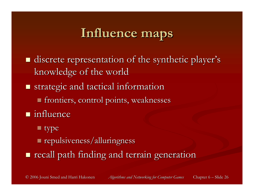### **Influence maps Influence maps**

- **discrete representation of the synthetic player's** knowledge of the world
- $\blacksquare$  strategic and tactical information
	- $\blacksquare$  frontiers, control points, weaknesses
- $\blacksquare$  influence
	- $\blacksquare$  type
	- $\blacksquare$  repulsiveness/alluringness
- $\blacksquare$  recall path finding and terrain generation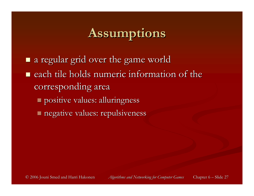### **Assumptions Assumptions**

- a regular grid over the game world a regular grid over the game world
- $\blacksquare$  each tile holds numeric information of the corresponding area
	- positive values: alluringness positive values: alluringness
	- negative values: repulsiveness negative values: repulsiveness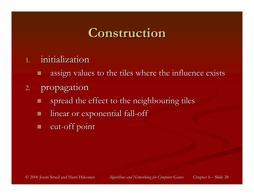#### **Construction Construction**

- 1. initialization
	- assign values to the tiles where the influence exists
- 2. propagation
	- spread the effect to the neighbouring tiles
	- linear or exponential fall-off
	- E cut-off point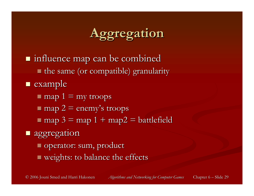## **Aggregation Aggregation**

 influence map can be combined influence map can be combined the same (or compatible) granularity the same (or compatible) granularity

**E** example

- $\blacksquare$  map 1 = my troops
- $\blacksquare$  map 2 = enemy's troops
- $\blacksquare$  map 3 = map 1 + map2 = battlefield

#### **aggregation**

- operator: sum, product operator: sum, product
- weights: to balance the effects weights: to balance the effects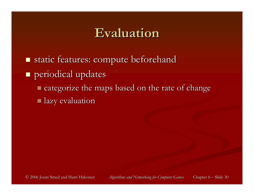#### **Evaluation Evaluation**

- $\Box$ static features: compute beforehand
- **periodical updates** 
	- $\blacksquare$  categorize the maps based on the rate of change
	- $\blacksquare$  lazy evaluation